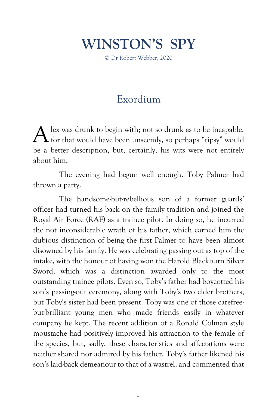## **WINSTON'S SPY**

© Dr Robert Webber, 2020

## Exordium

lex was drunk to begin with; not so drunk as to be incapable,  $A$  lex was drunk to begin with; not so drunk as to be incapable, for that would have been unseemly, so perhaps "tipsy" would be a better description, but, certainly, his wits were not entirely about him.

The evening had begun well enough. Toby Palmer had thrown a party.

The handsome-but-rebellious son of a former guards' officer had turned his back on the family tradition and joined the Royal Air Force (RAF) as a trainee pilot. In doing so, he incurred the not inconsiderable wrath of his father, which earned him the dubious distinction of being the first Palmer to have been almost disowned by his family. He was celebrating passing out as top of the intake, with the honour of having won the Harold Blackburn Silver Sword, which was a distinction awarded only to the most outstanding trainee pilots. Even so, Toby's father had boycotted his son's passing-out ceremony, along with Toby's two elder brothers, but Toby's sister had been present. Toby was one of those carefreebut-brilliant young men who made friends easily in whatever company he kept. The recent addition of a Ronald Colman style moustache had positively improved his attraction to the female of the species, but, sadly, these characteristics and affectations were neither shared nor admired by his father. Toby's father likened his son's laid-back demeanour to that of a wastrel, and commented that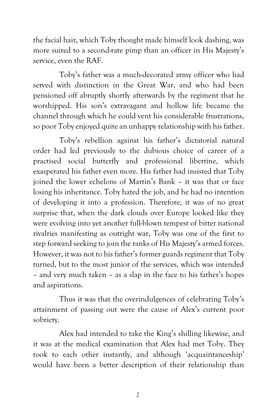the facial hair, which Toby thought made himself look dashing, was more suited to a second-rate pimp than an officer in His Majesty's service, even the RAF.

Toby's father was a much-decorated army officer who had served with distinction in the Great War, and who had been pensioned off abruptly shortly afterwards by the regiment that he worshipped. His son's extravagant and hollow life became the channel through which he could vent his considerable frustrations, so poor Toby enjoyed quite an unhappy relationship with his father.

Toby's rebellion against his father's dictatorial natural order had led previously to the dubious choice of career of a practised social butterfly and professional libertine, which exasperated his father even more. His father had insisted that Toby joined the lower echelons of Martin's Bank – it was that or face losing his inheritance. Toby hated the job, and he had no intention of developing it into a profession. Therefore, it was of no great surprise that, when the dark clouds over Europe looked like they were evolving into yet another full-blown tempest of bitter national rivalries manifesting as outright war, Toby was one of the first to step forward seeking to join the ranks of His Majesty's armed forces. However, it was not to his father's former guards regiment that Toby turned, but to the most junior of the services, which was intended – and very much taken – as a slap in the face to his father's hopes and aspirations.

Thus it was that the overindulgences of celebrating Toby's attainment of passing out were the cause of Alex's current poor sobriety.

Alex had intended to take the King's shilling likewise, and it was at the medical examination that Alex had met Toby. They took to each other instantly, and although 'acquaintanceship' would have been a better description of their relationship than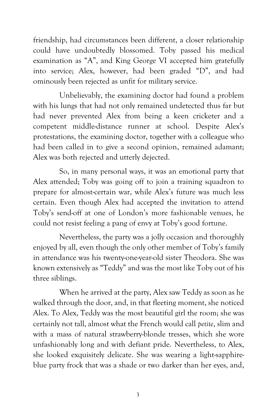friendship, had circumstances been different, a closer relationship could have undoubtedly blossomed. Toby passed his medical examination as "A", and King George VI accepted him gratefully into service; Alex, however, had been graded "D", and had ominously been rejected as unfit for military service.

Unbelievably, the examining doctor had found a problem with his lungs that had not only remained undetected thus far but had never prevented Alex from being a keen cricketer and a competent middle-distance runner at school. Despite Alex's protestations, the examining doctor, together with a colleague who had been called in to give a second opinion, remained adamant; Alex was both rejected and utterly dejected.

So, in many personal ways, it was an emotional party that Alex attended; Toby was going off to join a training squadron to prepare for almost-certain war, while Alex's future was much less certain. Even though Alex had accepted the invitation to attend Toby's send-off at one of London's more fashionable venues, he could not resist feeling a pang of envy at Toby's good fortune.

Nevertheless, the party was a jolly occasion and thoroughly enjoyed by all, even though the only other member of Toby's family in attendance was his twenty-one-year-old sister Theodora. She was known extensively as "Teddy" and was the most like Toby out of his three siblings.

When he arrived at the party, Alex saw Teddy as soon as he walked through the door, and, in that fleeting moment, she noticed Alex. To Alex, Teddy was the most beautiful girl the room; she was certainly not tall, almost what the French would call *petite*, slim and with a mass of natural strawberry-blonde tresses, which she wore unfashionably long and with defiant pride. Nevertheless, to Alex, she looked exquisitely delicate. She was wearing a light-sapphireblue party frock that was a shade or two darker than her eyes, and,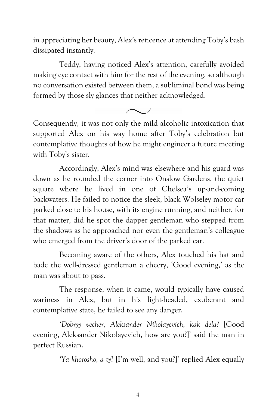in appreciating her beauty, Alex's reticence at attending Toby's bash dissipated instantly.

Teddy, having noticed Alex's attention, carefully avoided making eye contact with him for the rest of the evening, so although no conversation existed between them, a subliminal bond was being formed by those sly glances that neither acknowledged.



Consequently, it was not only the mild alcoholic intoxication that supported Alex on his way home after Toby's celebration but contemplative thoughts of how he might engineer a future meeting with Toby's sister.

Accordingly, Alex's mind was elsewhere and his guard was down as he rounded the corner into Onslow Gardens, the quiet square where he lived in one of Chelsea's up-and-coming backwaters. He failed to notice the sleek, black Wolseley motor car parked close to his house, with its engine running, and neither, for that matter, did he spot the dapper gentleman who stepped from the shadows as he approached nor even the gentleman's colleague who emerged from the driver's door of the parked car.

Becoming aware of the others, Alex touched his hat and bade the well-dressed gentleman a cheery, 'Good evening,' as the man was about to pass.

The response, when it came, would typically have caused wariness in Alex, but in his light-headed, exuberant and contemplative state, he failed to see any danger.

'*Dobryy vecher, Aleksander Nikolayevich, kak dela?* [Good evening, Aleksander Nikolayevich, how are you?]' said the man in perfect Russian.

*'Ya khorosho, a ty*? [I'm well, and you?]' replied Alex equally